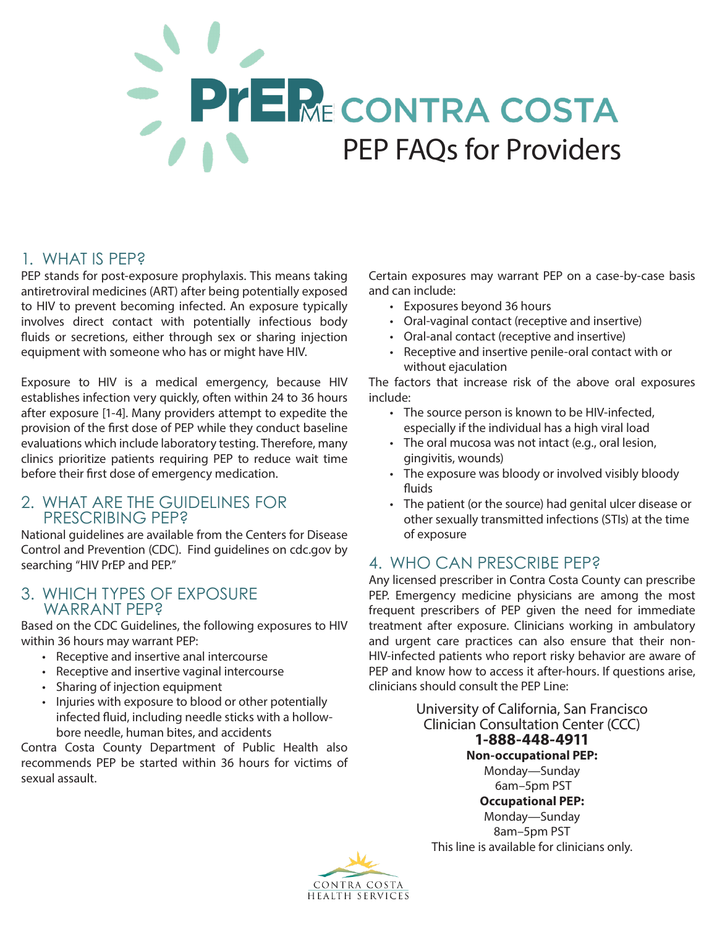# PYE ME CONTRA COSTA PEP FAQs for Providers

## 1. WHAT IS PEP?

PEP stands for post-exposure prophylaxis. This means taking antiretroviral medicines (ART) after being potentially exposed to HIV to prevent becoming infected. An exposure typically involves direct contact with potentially infectious body fluids or secretions, either through sex or sharing injection equipment with someone who has or might have HIV.

Exposure to HIV is a medical emergency, because HIV establishes infection very quickly, often within 24 to 36 hours after exposure [1-4]. Many providers attempt to expedite the provision of the first dose of PEP while they conduct baseline evaluations which include laboratory testing. Therefore, many clinics prioritize patients requiring PEP to reduce wait time before their first dose of emergency medication.

#### 2. WHAT ARE THE GUIDELINES FOR PRESCRIBING PEP?

National guidelines are available from the Centers for Disease Control and Prevention (CDC). Find guidelines on cdc.gov by searching "HIV PrEP and PEP."

#### 3. WHICH TYPES OF EXPOSURE WARRANT PEP?

Based on the CDC Guidelines, the following exposures to HIV within 36 hours may warrant PEP:

- Receptive and insertive anal intercourse
- Receptive and insertive vaginal intercourse
- Sharing of injection equipment
- Injuries with exposure to blood or other potentially infected fluid, including needle sticks with a hollowbore needle, human bites, and accidents

Contra Costa County Department of Public Health also recommends PEP be started within 36 hours for victims of sexual assault.

Certain exposures may warrant PEP on a case-by-case basis and can include:

- Exposures beyond 36 hours
- Oral-vaginal contact (receptive and insertive)
- Oral-anal contact (receptive and insertive)
- Receptive and insertive penile-oral contact with or without ejaculation

The factors that increase risk of the above oral exposures include:

- The source person is known to be HIV-infected, especially if the individual has a high viral load
- The oral mucosa was not intact (e.g., oral lesion, gingivitis, wounds)
- The exposure was bloody or involved visibly bloody fluids
- The patient (or the source) had genital ulcer disease or other sexually transmitted infections (STIs) at the time of exposure

## 4. WHO CAN PRESCRIBE PEP?

Any licensed prescriber in Contra Costa County can prescribe PEP. Emergency medicine physicians are among the most frequent prescribers of PEP given the need for immediate treatment after exposure. Clinicians working in ambulatory and urgent care practices can also ensure that their non-HIV-infected patients who report risky behavior are aware of PEP and know how to access it after-hours. If questions arise, clinicians should consult the PEP Line:

> University of California, San Francisco Clinician Consultation Center (CCC) **1-888-448-4911 Non-occupational PEP:** Monday—Sunday 6am–5pm PST **Occupational PEP:**  Monday—Sunday 8am–5pm PST This line is available for clinicians only.

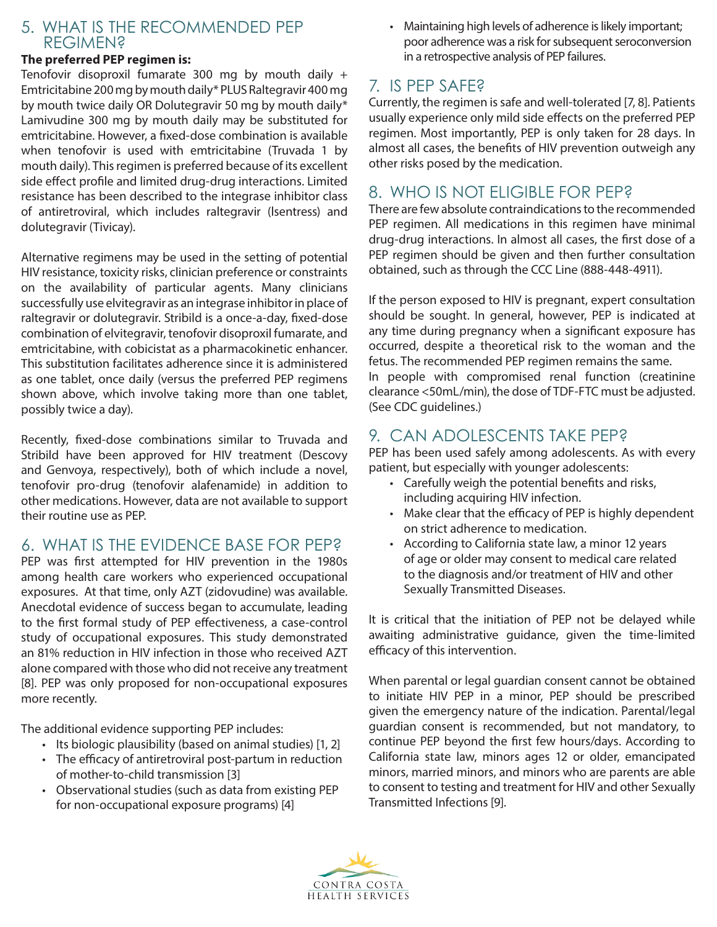#### 5. WHAT IS THE RECOMMENDED PEP REGIMEN?

#### **The preferred PEP regimen is:**

Tenofovir disoproxil fumarate 300 mg by mouth daily + Emtricitabine 200 mg by mouth daily\* PLUS Raltegravir 400 mg by mouth twice daily OR Dolutegravir 50 mg by mouth daily\* Lamivudine 300 mg by mouth daily may be substituted for emtricitabine. However, a fixed-dose combination is available when tenofovir is used with emtricitabine (Truvada 1 by mouth daily). This regimen is preferred because of its excellent side effect profile and limited drug-drug interactions. Limited resistance has been described to the integrase inhibitor class of antiretroviral, which includes raltegravir (lsentress) and dolutegravir (Tivicay).

Alternative regimens may be used in the setting of potential HIV resistance, toxicity risks, clinician preference or constraints on the availability of particular agents. Many clinicians successfully use elvitegravir as an integrase inhibitor in place of raltegravir or dolutegravir. Stribild is a once-a-day, fixed-dose combination of elvitegravir, tenofovir disoproxil fumarate, and emtricitabine, with cobicistat as a pharmacokinetic enhancer. This substitution facilitates adherence since it is administered as one tablet, once daily (versus the preferred PEP regimens shown above, which involve taking more than one tablet, possibly twice a day).

Recently, fixed-dose combinations similar to Truvada and Stribild have been approved for HIV treatment (Descovy and Genvoya, respectively), both of which include a novel, tenofovir pro-drug (tenofovir alafenamide) in addition to other medications. However, data are not available to support their routine use as PEP.

## 6. WHAT IS THE EVIDENCE BASE FOR PEP?

PEP was first attempted for HIV prevention in the 1980s among health care workers who experienced occupational exposures. At that time, only AZT (zidovudine) was available. Anecdotal evidence of success began to accumulate, leading to the first formal study of PEP effectiveness, a case-control study of occupational exposures. This study demonstrated an 81% reduction in HIV infection in those who received AZT alone compared with those who did not receive any treatment [8]. PEP was only proposed for non-occupational exposures more recently.

The additional evidence supporting PEP includes:

- Its biologic plausibility (based on animal studies) [1, 2]
- The efficacy of antiretroviral post-partum in reduction of mother-to-child transmission [3]
- Observational studies (such as data from existing PEP for non-occupational exposure programs) [4]

• Maintaining high levels of adherence is likely important; poor adherence was a risk for subsequent seroconversion in a retrospective analysis of PEP failures.

# 7. IS PEP SAFE?

Currently, the regimen is safe and well-tolerated [7, 8]. Patients usually experience only mild side effects on the preferred PEP regimen. Most importantly, PEP is only taken for 28 days. In almost all cases, the benefits of HIV prevention outweigh any other risks posed by the medication.

## 8. WHO IS NOT ELIGIBLE FOR PEP?

There are few absolute contraindications to the recommended PEP regimen. All medications in this regimen have minimal drug-drug interactions. In almost all cases, the first dose of a PEP regimen should be given and then further consultation obtained, such as through the CCC Line (888-448-4911).

If the person exposed to HIV is pregnant, expert consultation should be sought. In general, however, PEP is indicated at any time during pregnancy when a significant exposure has occurred, despite a theoretical risk to the woman and the fetus. The recommended PEP regimen remains the same. In people with compromised renal function (creatinine clearance <50mL/min), the dose of TDF-FTC must be adjusted. (See CDC guidelines.)

## 9. CAN ADOLESCENTS TAKE PEP?

PEP has been used safely among adolescents. As with every patient, but especially with younger adolescents:

- Carefully weigh the potential benefits and risks, including acquiring HIV infection.
- Make clear that the efficacy of PEP is highly dependent on strict adherence to medication.
- According to California state law, a minor 12 years of age or older may consent to medical care related to the diagnosis and/or treatment of HIV and other Sexually Transmitted Diseases.

It is critical that the initiation of PEP not be delayed while awaiting administrative guidance, given the time-limited efficacy of this intervention.

When parental or legal guardian consent cannot be obtained to initiate HIV PEP in a minor, PEP should be prescribed given the emergency nature of the indication. Parental/legal guardian consent is recommended, but not mandatory, to continue PEP beyond the first few hours/days. According to California state law, minors ages 12 or older, emancipated minors, married minors, and minors who are parents are able to consent to testing and treatment for HIV and other Sexually Transmitted Infections [9].

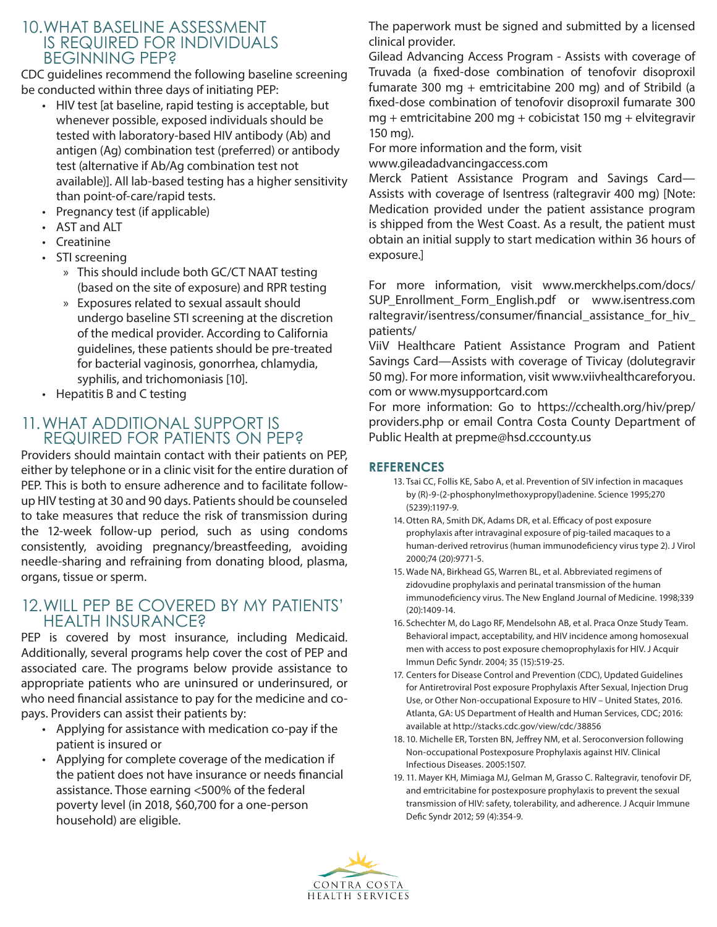### 10.WHAT BASELINE ASSESSMENT IS REQUIRED FOR INDIVIDUALS BEGINNING PEP?

CDC guidelines recommend the following baseline screening be conducted within three days of initiating PEP:

- HIV test [at baseline, rapid testing is acceptable, but whenever possible, exposed individuals should be tested with laboratory-based HIV antibody (Ab) and antigen (Ag) combination test (preferred) or antibody test (alternative if Ab/Ag combination test not available)]. All lab-based testing has a higher sensitivity than point-of-care/rapid tests.
- Pregnancy test (if applicable)
- AST and ALT
- Creatinine
- STI screening
	- » This should include both GC/CT NAAT testing (based on the site of exposure) and RPR testing
	- » Exposures related to sexual assault should undergo baseline STI screening at the discretion of the medical provider. According to California guidelines, these patients should be pre-treated for bacterial vaginosis, gonorrhea, chlamydia, syphilis, and trichomoniasis [10].
- Hepatitis B and C testing

### 11.WHAT ADDITIONAL SUPPORT IS REQUIRED FOR PATIENTS ON PEP?

Providers should maintain contact with their patients on PEP, either by telephone or in a clinic visit for the entire duration of PEP. This is both to ensure adherence and to facilitate followup HIV testing at 30 and 90 days. Patients should be counseled to take measures that reduce the risk of transmission during the 12-week follow-up period, such as using condoms consistently, avoiding pregnancy/breastfeeding, avoiding needle-sharing and refraining from donating blood, plasma, organs, tissue or sperm.

## 12.WILL PEP BE COVERED BY MY PATIENTS' HEALTH INSURANCE?

PEP is covered by most insurance, including Medicaid. Additionally, several programs help cover the cost of PEP and associated care. The programs below provide assistance to appropriate patients who are uninsured or underinsured, or who need financial assistance to pay for the medicine and copays. Providers can assist their patients by:

- Applying for assistance with medication co-pay if the patient is insured or
- Applying for complete coverage of the medication if the patient does not have insurance or needs financial assistance. Those earning <500% of the federal poverty level (in 2018, \$60,700 for a one-person household) are eligible.

The paperwork must be signed and submitted by a licensed clinical provider.

Gilead Advancing Access Program - Assists with coverage of Truvada (a fixed-dose combination of tenofovir disoproxil fumarate 300 mg + emtricitabine 200 mg) and of Stribild (a fixed-dose combination of tenofovir disoproxil fumarate 300 mg + emtricitabine 200 mg + cobicistat 150 mg + elvitegravir 150 mg).

For more information and the form, visit www.gileadadvancingaccess.com

Merck Patient Assistance Program and Savings Card— Assists with coverage of Isentress (raltegravir 400 mg) [Note: Medication provided under the patient assistance program is shipped from the West Coast. As a result, the patient must obtain an initial supply to start medication within 36 hours of exposure.]

For more information, visit www.merckhelps.com/docs/ SUP\_Enrollment\_Form\_English.pdf or www.isentress.com raltegravir/isentress/consumer/financial\_assistance\_for\_hiv\_ patients/

ViiV Healthcare Patient Assistance Program and Patient Savings Card—Assists with coverage of Tivicay (dolutegravir 50 mg). For more information, visit www.viivhealthcareforyou. com or www.mysupportcard.com

For more information: Go to https://cchealth.org/hiv/prep/ providers.php or email Contra Costa County Department of Public Health at prepme@hsd.cccounty.us

#### **REFERENCES**

- 13. Tsai CC, Follis KE, Sabo A, et al. Prevention of SIV infection in macaques by (R)-9-(2-phosphonylmethoxypropyl)adenine. Science 1995;270 (5239):1197-9.
- 14. Otten RA, Smith DK, Adams DR, et al. Efficacy of post exposure prophylaxis after intravaginal exposure of pig-tailed macaques to a human-derived retrovirus (human immunodeficiency virus type 2). J Virol 2000;74 (20):9771-5.
- 15. Wade NA, Birkhead GS, Warren BL, et al. Abbreviated regimens of zidovudine prophylaxis and perinatal transmission of the human immunodeficiency virus. The New England Journal of Medicine. 1998;339 (20):1409-14.
- 16. Schechter M, do Lago RF, Mendelsohn AB, et al. Praca Onze Study Team. Behavioral impact, acceptability, and HIV incidence among homosexual men with access to post exposure chemoprophylaxis for HIV. J Acquir Immun Defic Syndr. 2004; 35 (15):519-25.
- 17. Centers for Disease Control and Prevention (CDC), Updated Guidelines for Antiretroviral Post exposure Prophylaxis After Sexual, Injection Drug Use, or Other Non-occupational Exposure to HIV – United States, 2016. Atlanta, GA: US Department of Health and Human Services, CDC; 2016: available at http://stacks.cdc.gov/view/cdc/38856
- 18. 10. Michelle ER, Torsten BN, Jeffrey NM, et al. Seroconversion following Non-occupational Postexposure Prophylaxis against HIV. Clinical Infectious Diseases. 2005:1507.
- 19. 11. Mayer KH, Mimiaga MJ, Gelman M, Grasso C. Raltegravir, tenofovir DF, and emtricitabine for postexposure prophylaxis to prevent the sexual transmission of HIV: safety, tolerability, and adherence. J Acquir Immune Defic Syndr 2012; 59 (4):354-9.